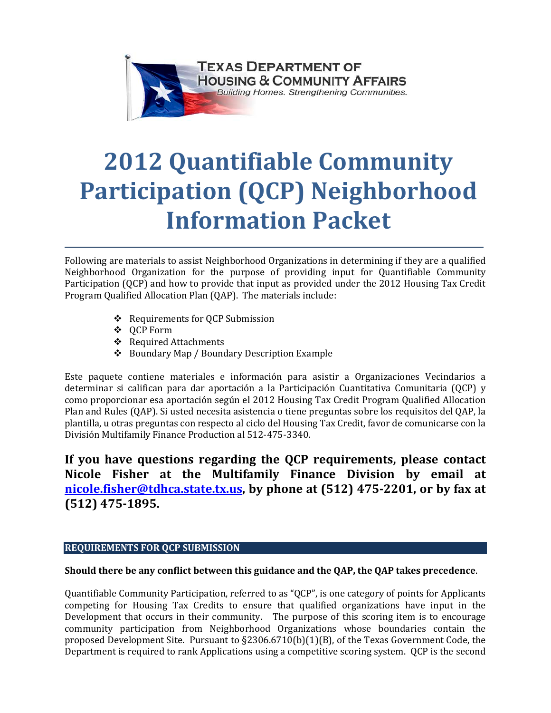

# **2012 Quantifiable Community Participation (QCP) Neighborhood Information Packet**

Following are materials to assist Neighborhood Organizations in determining if they are a qualified Neighborhood Organization for the purpose of providing input for Quantifiable Community Participation (QCP) and how to provide that input as provided under the 2012 Housing Tax Credit Program Qualified Allocation Plan (QAP). The materials include:

- Requirements for QCP Submission
- QCP Form
- Required Attachments
- Boundary Map / Boundary Description Example

Este paquete contiene materiales e información para asistir a Organizaciones Vecindarios a determinar si califican para dar aportación a la Participación Cuantitativa Comunitaria (QCP) y como proporcionar esa aportación según el 2012 Housing Tax Credit Program Qualified Allocation Plan and Rules (QAP). Si usted necesita asistencia o tiene preguntas sobre los requisitos del QAP, la plantilla, u otras preguntas con respecto al ciclo del Housing Tax Credit, favor de comunicarse con la División Multifamily Finance Production al 512-475-3340.

**If you have questions regarding the QCP requirements, please contact Nicole Fisher at the Multifamily Finance Division by email at [nicole.fisher@tdhca.state.tx.us,](mailto:Nicole.fisher@tdhca.state.tx.us) by phone at (512) 475-2201, or by fax at (512) 475-1895.**

## **REQUIREMENTS FOR QCP SUBMISSION**

## **Should there be any conflict between this guidance and the QAP, the QAP takes precedence**.

Quantifiable Community Participation, referred to as "QCP", is one category of points for Applicants competing for Housing Tax Credits to ensure that qualified organizations have input in the Development that occurs in their community. The purpose of this scoring item is to encourage community participation from Neighborhood Organizations whose boundaries contain the proposed Development Site. Pursuant to §2306.6710(b)(1)(B), of the Texas Government Code, the Department is required to rank Applications using a competitive scoring system. QCP is the second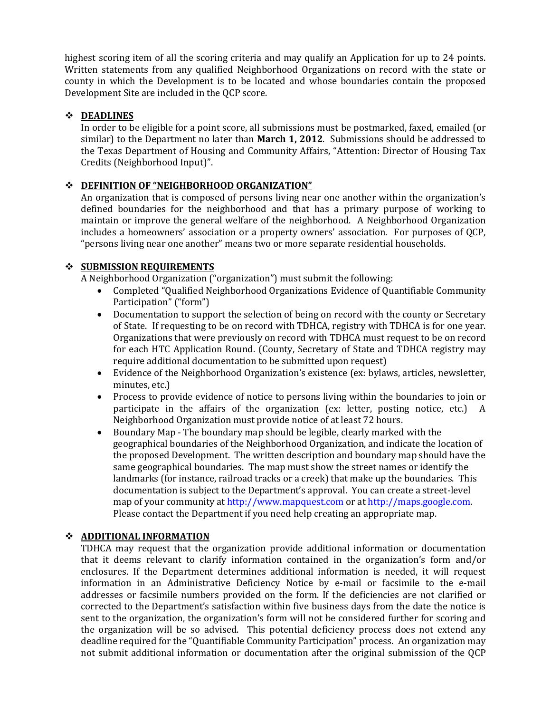highest scoring item of all the scoring criteria and may qualify an Application for up to 24 points. Written statements from any qualified Neighborhood Organizations on record with the state or county in which the Development is to be located and whose boundaries contain the proposed Development Site are included in the QCP score.

## **DEADLINES**

In order to be eligible for a point score, all submissions must be postmarked, faxed, emailed (or similar) to the Department no later than **March 1, 2012**. Submissions should be addressed to the Texas Department of Housing and Community Affairs, "Attention: Director of Housing Tax Credits (Neighborhood Input)".

## **DEFINITION OF "NEIGHBORHOOD ORGANIZATION"**

An organization that is composed of persons living near one another within the organization's defined boundaries for the neighborhood and that has a primary purpose of working to maintain or improve the general welfare of the neighborhood. A Neighborhood Organization includes a homeowners' association or a property owners' association. For purposes of QCP, "persons living near one another" means two or more separate residential households.

## $\div$  SUBMISSION REQUIREMENTS

A Neighborhood Organization ("organization") must submit the following:

- Completed "Qualified Neighborhood Organizations Evidence of Quantifiable Community Participation" ("form")
- Documentation to support the selection of being on record with the county or Secretary of State. If requesting to be on record with TDHCA, registry with TDHCA is for one year. Organizations that were previously on record with TDHCA must request to be on record for each HTC Application Round. (County, Secretary of State and TDHCA registry may require additional documentation to be submitted upon request)
- Evidence of the Neighborhood Organization's existence (ex: bylaws, articles, newsletter, minutes, etc.)
- Process to provide evidence of notice to persons living within the boundaries to join or participate in the affairs of the organization (ex: letter, posting notice, etc.) A Neighborhood Organization must provide notice of at least 72 hours.
- Boundary Map The boundary map should be legible, clearly marked with the geographical boundaries of the Neighborhood Organization, and indicate the location of the proposed Development. The written description and boundary map should have the same geographical boundaries. The map must show the street names or identify the landmarks (for instance, railroad tracks or a creek) that make up the boundaries. This documentation is subject to the Department's approval. You can create a street-level map of your community a[t http://www.mapquest.com](http://www.mapquest.com/) or at [http://maps.google.com.](http://maps.google.com/) Please contact the Department if you need help creating an appropriate map.

# **ADDITIONAL INFORMATION**

TDHCA may request that the organization provide additional information or documentation that it deems relevant to clarify information contained in the organization's form and/or enclosures. If the Department determines additional information is needed, it will request information in an Administrative Deficiency Notice by e-mail or facsimile to the e-mail addresses or facsimile numbers provided on the form. If the deficiencies are not clarified or corrected to the Department's satisfaction within five business days from the date the notice is sent to the organization, the organization's form will not be considered further for scoring and the organization will be so advised. This potential deficiency process does not extend any deadline required for the "Quantifiable Community Participation" process. An organization may not submit additional information or documentation after the original submission of the QCP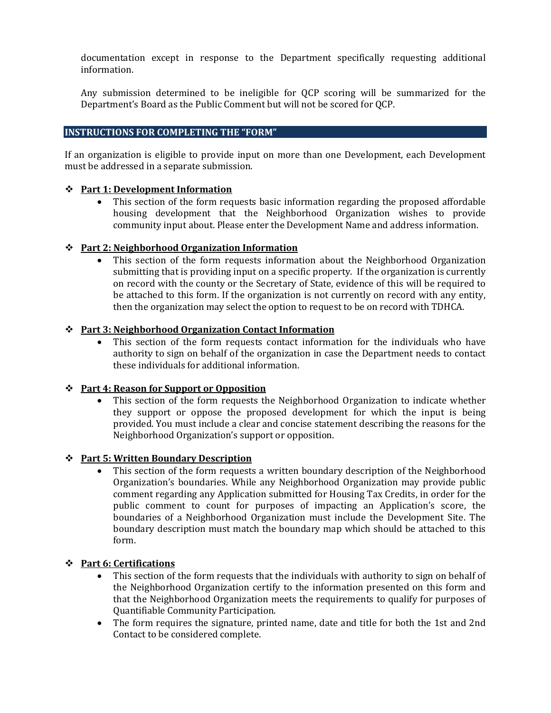documentation except in response to the Department specifically requesting additional information.

Any submission determined to be ineligible for QCP scoring will be summarized for the Department's Board as the Public Comment but will not be scored for QCP.

## **INSTRUCTIONS FOR COMPLETING THE "FORM"**

If an organization is eligible to provide input on more than one Development, each Development must be addressed in a separate submission.

### **Part 1: Development Information**

• This section of the form requests basic information regarding the proposed affordable housing development that the Neighborhood Organization wishes to provide community input about. Please enter the Development Name and address information.

## **Part 2: Neighborhood Organization Information**

• This section of the form requests information about the Neighborhood Organization submitting that is providing input on a specific property. If the organization is currently on record with the county or the Secretary of State, evidence of this will be required to be attached to this form. If the organization is not currently on record with any entity, then the organization may select the option to request to be on record with TDHCA.

## **Part 3: Neighborhood Organization Contact Information**

This section of the form requests contact information for the individuals who have authority to sign on behalf of the organization in case the Department needs to contact these individuals for additional information.

## **Part 4: Reason for Support or Opposition**

This section of the form requests the Neighborhood Organization to indicate whether they support or oppose the proposed development for which the input is being provided. You must include a clear and concise statement describing the reasons for the Neighborhood Organization's support or opposition.

## **Part 5: Written Boundary Description**

• This section of the form requests a written boundary description of the Neighborhood Organization's boundaries. While any Neighborhood Organization may provide public comment regarding any Application submitted for Housing Tax Credits, in order for the public comment to count for purposes of impacting an Application's score, the boundaries of a Neighborhood Organization must include the Development Site. The boundary description must match the boundary map which should be attached to this form.

## **Part 6: Certifications**

- This section of the form requests that the individuals with authority to sign on behalf of the Neighborhood Organization certify to the information presented on this form and that the Neighborhood Organization meets the requirements to qualify for purposes of Quantifiable Community Participation.
- The form requires the signature, printed name, date and title for both the 1st and 2nd Contact to be considered complete.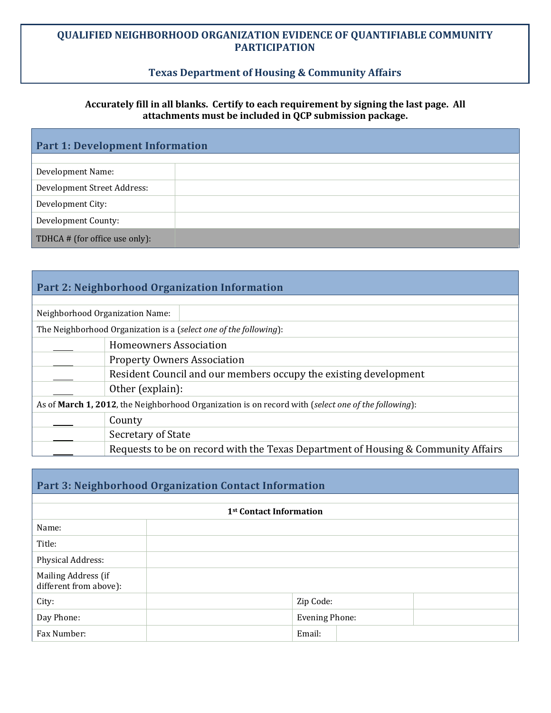# **Texas Department of Housing & Community Affairs**

## **Accurately fill in all blanks. Certify to each requirement by signing the last page. All attachments must be included in QCP submission package.**

| <b>Part 1: Development Information</b> |  |  |  |  |
|----------------------------------------|--|--|--|--|
|                                        |  |  |  |  |
| Development Name:                      |  |  |  |  |
| Development Street Address:            |  |  |  |  |
| Development City:                      |  |  |  |  |
| Development County:                    |  |  |  |  |
| TDHCA # (for office use only):         |  |  |  |  |

| Part 2: Neighborhood Organization Information                                                               |                                                                                   |  |  |  |
|-------------------------------------------------------------------------------------------------------------|-----------------------------------------------------------------------------------|--|--|--|
|                                                                                                             |                                                                                   |  |  |  |
| Neighborhood Organization Name:                                                                             |                                                                                   |  |  |  |
| The Neighborhood Organization is a (select one of the following):                                           |                                                                                   |  |  |  |
| <b>Homeowners Association</b>                                                                               |                                                                                   |  |  |  |
| <b>Property Owners Association</b>                                                                          |                                                                                   |  |  |  |
|                                                                                                             | Resident Council and our members occupy the existing development                  |  |  |  |
| Other (explain):                                                                                            |                                                                                   |  |  |  |
| As of <b>March 1, 2012</b> , the Neighborhood Organization is on record with (select one of the following): |                                                                                   |  |  |  |
| County                                                                                                      |                                                                                   |  |  |  |
| Secretary of State                                                                                          |                                                                                   |  |  |  |
|                                                                                                             | Requests to be on record with the Texas Department of Housing & Community Affairs |  |  |  |

| Part 3: Neighborhood Organization Contact Information |  |                       |  |  |  |
|-------------------------------------------------------|--|-----------------------|--|--|--|
|                                                       |  |                       |  |  |  |
| 1 <sup>st</sup> Contact Information                   |  |                       |  |  |  |
| Name:                                                 |  |                       |  |  |  |
| Title:                                                |  |                       |  |  |  |
| Physical Address:                                     |  |                       |  |  |  |
| Mailing Address (if<br>different from above):         |  |                       |  |  |  |
| City:                                                 |  | Zip Code:             |  |  |  |
| Day Phone:                                            |  | <b>Evening Phone:</b> |  |  |  |
| Fax Number:                                           |  | Email:                |  |  |  |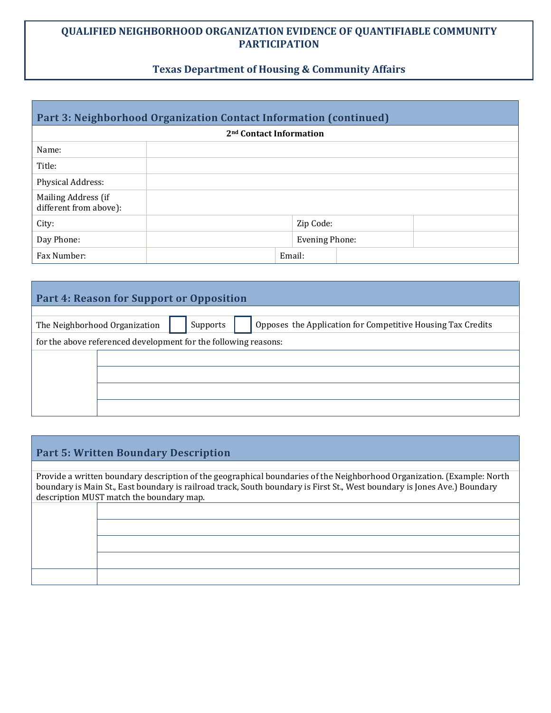# **Texas Department of Housing & Community Affairs**

| Part 3: Neighborhood Organization Contact Information (continued) |        |                       |  |  |  |
|-------------------------------------------------------------------|--------|-----------------------|--|--|--|
| 2 <sup>nd</sup> Contact Information                               |        |                       |  |  |  |
| Name:                                                             |        |                       |  |  |  |
| Title:                                                            |        |                       |  |  |  |
| Physical Address:                                                 |        |                       |  |  |  |
| Mailing Address (if<br>different from above):                     |        |                       |  |  |  |
| City:                                                             |        | Zip Code:             |  |  |  |
| Day Phone:                                                        |        | <b>Evening Phone:</b> |  |  |  |
| Fax Number:                                                       | Email: |                       |  |  |  |

# **Part 4: Reason for Support or Opposition**

|                                                                 | The Neighborhood Organization |  | Supports |  | Opposes the Application for Competitive Housing Tax Credits |
|-----------------------------------------------------------------|-------------------------------|--|----------|--|-------------------------------------------------------------|
| for the above referenced development for the following reasons: |                               |  |          |  |                                                             |
|                                                                 |                               |  |          |  |                                                             |
|                                                                 |                               |  |          |  |                                                             |
|                                                                 |                               |  |          |  |                                                             |
|                                                                 |                               |  |          |  |                                                             |

# **Part 5: Written Boundary Description**

Provide a written boundary description of the geographical boundaries of the Neighborhood Organization. (Example: North boundary is Main St., East boundary is railroad track, South boundary is First St., West boundary is Jones Ave.) Boundary description MUST match the boundary map.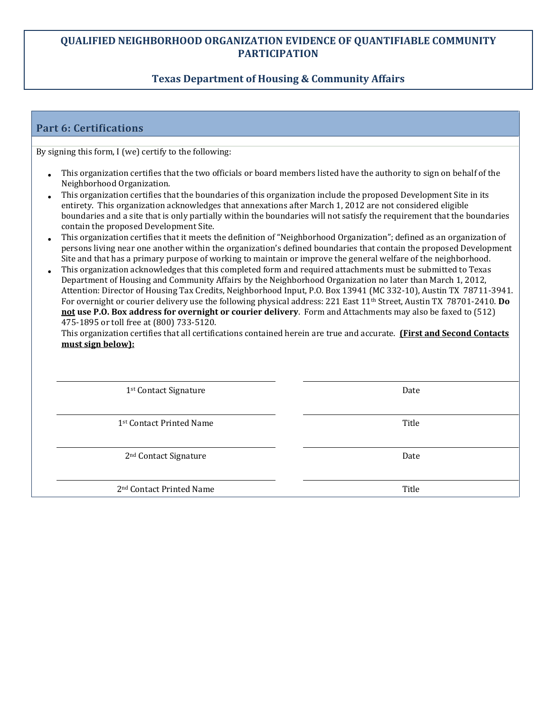# **Texas Department of Housing & Community Affairs**

# **Part 6: Certifications**

By signing this form, I (we) certify to the following:

- This organization certifies that the two officials or board members listed have the authority to sign on behalf of the Neighborhood Organization.
- This organization certifies that the boundaries of this organization include the proposed Development Site in its entirety. This organization acknowledges that annexations after March 1, 2012 are not considered eligible boundaries and a site that is only partially within the boundaries will not satisfy the requirement that the boundaries contain the proposed Development Site.
- This organization certifies that it meets the definition of "Neighborhood Organization"; defined as an organization of persons living near one another within the organization's defined boundaries that contain the proposed Development Site and that has a primary purpose of working to maintain or improve the general welfare of the neighborhood.
- This organization acknowledges that this completed form and required attachments must be submitted to Texas Department of Housing and Community Affairs by the Neighborhood Organization no later than March 1, 2012, Attention: Director of Housing Tax Credits, Neighborhood Input, P.O. Box 13941 (MC 332-10), Austin TX 78711-3941. For overnight or courier delivery use the following physical address: 221 East 11th Street, Austin TX 78701-2410. **Do not use P.O. Box address for overnight or courier delivery**. Form and Attachments may also be faxed to (512) 475-1895 or toll free at (800) 733-5120.

This organization certifies that all certifications contained herein are true and accurate. **(First and Second Contacts must sign below):**

1<sup>st</sup> Contact Signature **Date** Date **Date** Date **Date** 

1st Contact Printed Name The Contact Printed Name Title

2<sup>nd</sup> Contact Signature Date

2<sup>nd</sup> Contact Printed Name **Title**